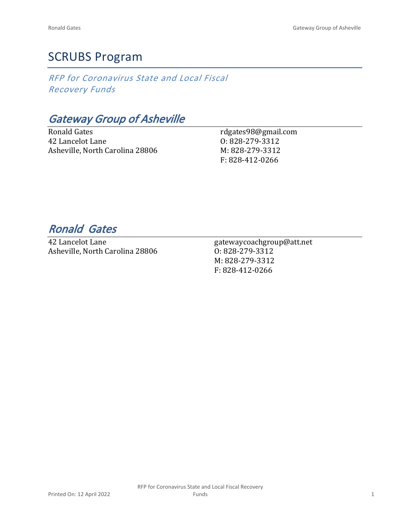# SCRUBS Program

*RFP for Coronavirus State and Local Fiscal Recovery Funds*

*Gateway Group of Asheville*

Ronald Gates 42 Lancelot Lane Asheville, North Carolina 28806 rdgates98@gmail.com O: 828-279-3312 M: 828-279-3312 F: 828-412-0266

# *Ronald Gates*

42 Lancelot Lane Asheville, North Carolina 28806 gatewaycoachgroup@att.net O: 828-279-3312 M: 828-279-3312 F: 828-412-0266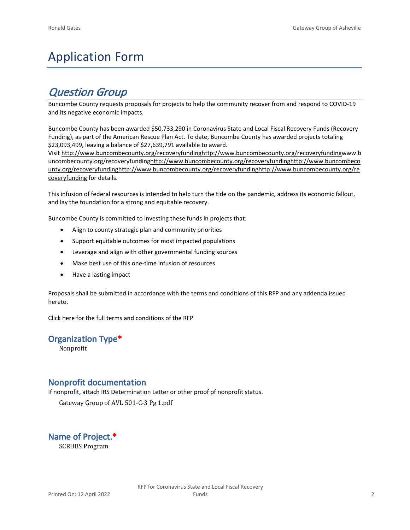# Application Form

# *Question Group*

Buncombe County requests proposals for projects to help the community recover from and respond to COVID-19 and its negative economic impacts.

Buncombe County has been awarded \$50,733,290 in Coronavirus State and Local Fiscal Recovery Funds (Recovery Funding), as part of the American Rescue Plan Act. To date, Buncombe County has awarded projects totaling \$23,093,499, leaving a balance of \$27,639,791 available to award.

Visit [http://www.buncombecounty.org/recoveryfundinghttp://www.buncombecounty.org/recoveryfundingwww.b](http://www.buncombecounty.org/recoveryfunding) [uncombecounty.org/recoveryfundinghttp://www.buncombecounty.org/recoveryfundinghttp://www.buncombeco](http://www.buncombecounty.org/recoveryfunding) [unty.org/recoveryfundinghttp://www.buncombecounty.org/recoveryfundinghttp://www.buncombecounty.org/re](http://www.buncombecounty.org/recoveryfunding) [coveryfunding](http://www.buncombecounty.org/recoveryfunding) for details.

This infusion of federal resources is intended to help turn the tide on the pandemic, address its economic fallout, and lay the foundation for a strong and equitable recovery.

Buncombe County is committed to investing these funds in projects that:

- Align to county strategic plan and community priorities
- Support equitable outcomes for most impacted populations
- Leverage and align with other governmental funding sources
- Make best use of this one-time infusion of resources
- Have a lasting impact

Proposals shall be submitted in accordance with the terms and conditions of this RFP and any addenda issued hereto.

Click [here](https://www.buncombecounty.org/common/purchasing/Buncombe%20Recovery%20Funding%20RFP%202022.pdf) for the full terms and conditions of the RFP

#### **Organization Type\***

Nonprofit

#### **Nonprofit documentation**

If nonprofit, attach IRS Determination Letter or other proof of nonprofit status.

Gateway Group of AVL 501-C-3 Pg 1.pdf

**Name of Project.\*** SCRUBS Program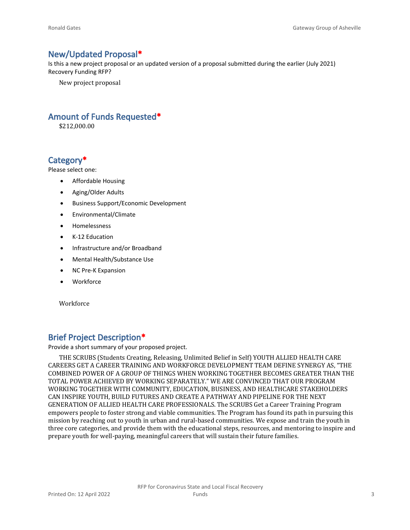### **New/Updated Proposal\***

Is this a new project proposal or an updated version of a proposal submitted during the earlier (July 2021) Recovery Funding RFP?

New project proposal

# **Amount of Funds Requested\***

\$212,000.00

# **Category\***

Please select one:

- Affordable Housing
- Aging/Older Adults
- Business Support/Economic Development
- Environmental/Climate
- Homelessness
- K-12 Education
- Infrastructure and/or Broadband
- Mental Health/Substance Use
- NC Pre-K Expansion
- Workforce

Workforce

## **Brief Project Description\***

Provide a short summary of your proposed project.

THE SCRUBS (Students Creating, Releasing, Unlimited Belief in Self) YOUTH ALLIED HEALTH CARE CAREERS GET A CAREER TRAINING AND WORKFORCE DEVELOPMENT TEAM DEFINE SYNERGY AS, "THE COMBINED POWER OF A GROUP OF THINGS WHEN WORKING TOGETHER BECOMES GREATER THAN THE TOTAL POWER ACHIEVED BY WORKING SEPARATELY." WE ARE CONVINCED THAT OUR PROGRAM WORKING TOGETHER WITH COMMUNITY, EDUCATION, BUSINESS, AND HEALTHCARE STAKEHOLDERS CAN INSPIRE YOUTH, BUILD FUTURES AND CREATE A PATHWAY AND PIPELINE FOR THE NEXT GENERATION OF ALLIED HEALTH CARE PROFESSIONALS. The SCRUBS Get a Career Training Program empowers people to foster strong and viable communities. The Program has found its path in pursuing this mission by reaching out to youth in urban and rural-based communities. We expose and train the youth in three core categories, and provide them with the educational steps, resources, and mentoring to inspire and prepare youth for well-paying, meaningful careers that will sustain their future families.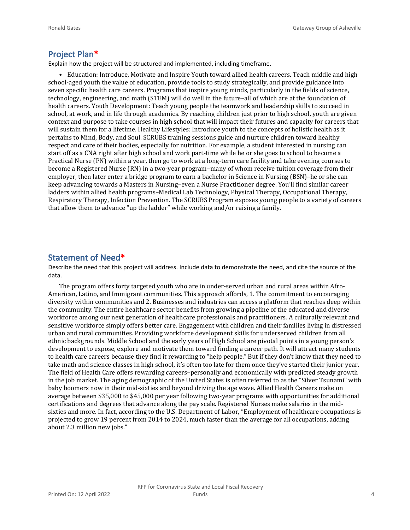#### **Project Plan\***

Explain how the project will be structured and implemented, including timeframe.

• Education: Introduce, Motivate and Inspire Youth toward allied health careers. Teach middle and high school-aged youth the value of education, provide tools to study strategically, and provide guidance into seven specific health care careers. Programs that inspire young minds, particularly in the fields of science, technology, engineering, and math (STEM) will do well in the future–all of which are at the foundation of health careers. Youth Development: Teach young people the teamwork and leadership skills to succeed in school, at work, and in life through academics. By reaching children just prior to high school, youth are given context and purpose to take courses in high school that will impact their futures and capacity for careers that will sustain them for a lifetime. Healthy Lifestyles: Introduce youth to the concepts of holistic health as it pertains to Mind, Body, and Soul. SCRUBS training sessions guide and nurture children toward healthy respect and care of their bodies, especially for nutrition. For example, a student interested in nursing can start off as a CNA right after high school and work part-time while he or she goes to school to become a Practical Nurse (PN) within a year, then go to work at a long-term care facility and take evening courses to become a Registered Nurse (RN) in a two-year program–many of whom receive tuition coverage from their employer, then later enter a bridge program to earn a bachelor in Science in Nursing (BSN)–he or she can keep advancing towards a Masters in Nursing–even a Nurse Practitioner degree. You'll find similar career ladders within allied health programs–Medical Lab Technology, Physical Therapy, Occupational Therapy, Respiratory Therapy, Infection Prevention. The SCRUBS Program exposes young people to a variety of careers that allow them to advance "up the ladder" while working and/or raising a family.

#### **Statement of Need\***

Describe the need that this project will address. Include data to demonstrate the need, and cite the source of the data.

The program offers forty targeted youth who are in under-served urban and rural areas within Afro-American, Latino, and Immigrant communities. This approach affords, 1. The commitment to encouraging diversity within communities and 2. Businesses and industries can access a platform that reaches deep within the community. The entire healthcare sector benefits from growing a pipeline of the educated and diverse workforce among our next generation of healthcare professionals and practitioners. A culturally relevant and sensitive workforce simply offers better care. Engagement with children and their families living in distressed urban and rural communities. Providing workforce development skills for underserved children from all ethnic backgrounds. Middle School and the early years of High School are pivotal points in a young person's development to expose, explore and motivate them toward finding a career path. It will attract many students to health care careers because they find it rewarding to "help people." But if they don't know that they need to take math and science classes in high school, it's often too late for them once they've started their junior year. The field of Health Care offers rewarding careers–personally and economically with predicted steady growth in the job market. The aging demographic of the United States is often referred to as the "Silver Tsunami" with baby boomers now in their mid-sixties and beyond driving the age wave. Allied Health Careers make on average between \$35,000 to \$45,000 per year following two-year programs with opportunities for additional certifications and degrees that advance along the pay scale. Registered Nurses make salaries in the midsixties and more. In fact, according to the U.S. Department of Labor, "Employment of healthcare occupations is projected to grow 19 percent from 2014 to 2024, much faster than the average for all occupations, adding about 2.3 million new jobs."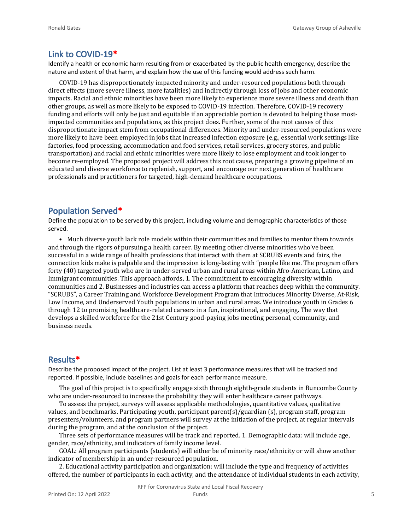#### **Link to COVID-19\***

Identify a health or economic harm resulting from or exacerbated by the public health emergency, describe the nature and extent of that harm, and explain how the use of this funding would address such harm.

COVID-19 has disproportionately impacted minority and under-resourced populations both through direct effects (more severe illness, more fatalities) and indirectly through loss of jobs and other economic impacts. Racial and ethnic minorities have been more likely to experience more severe illness and death than other groups, as well as more likely to be exposed to COVID-19 infection. Therefore, COVID-19 recovery funding and efforts will only be just and equitable if an appreciable portion is devoted to helping those mostimpacted communities and populations, as this project does. Further, some of the root causes of this disproportionate impact stem from occupational differences. Minority and under-resourced populations were more likely to have been employed in jobs that increased infection exposure (e.g., essential work settings like factories, food processing, accommodation and food services, retail services, grocery stores, and public transportation) and racial and ethnic minorities were more likely to lose employment and took longer to become re-employed. The proposed project will address this root cause, preparing a growing pipeline of an educated and diverse workforce to replenish, support, and encourage our next generation of healthcare professionals and practitioners for targeted, high-demand healthcare occupations.

# **Population Served\***

Define the population to be served by this project, including volume and demographic characteristics of those served.

• Much diverse youth lack role models within their communities and families to mentor them towards and through the rigors of pursuing a health career. By meeting other diverse minorities who've been successful in a wide range of health professions that interact with them at SCRUBS events and fairs, the connection kids make is palpable and the impression is long-lasting with "people like me. The program offers forty (40) targeted youth who are in under-served urban and rural areas within Afro-American, Latino, and Immigrant communities. This approach affords, 1. The commitment to encouraging diversity within communities and 2. Businesses and industries can access a platform that reaches deep within the community. "SCRUBS", a Career Training and Workforce Development Program that Introduces Minority Diverse, At-Risk, Low Income, and Underserved Youth populations in urban and rural areas. We introduce youth in Grades 6 through 12 to promising healthcare-related careers in a fun, inspirational, and engaging. The way that develops a skilled workforce for the 21st Century good-paying jobs meeting personal, community, and business needs.

#### **Results\***

Describe the proposed impact of the project. List at least 3 performance measures that will be tracked and reported. If possible, include baselines and goals for each performance measure.

The goal of this project is to specifically engage sixth through eighth-grade students in Buncombe County who are under-resourced to increase the probability they will enter healthcare career pathways.

To assess the project, surveys will assess applicable methodologies, quantitative values, qualitative values, and benchmarks. Participating youth, participant parent(s)/guardian (s), program staff, program presenters/volunteers, and program partners will survey at the initiation of the project, at regular intervals during the program, and at the conclusion of the project.

Three sets of performance measures will be track and reported. 1. Demographic data: will include age, gender, race/ethnicity, and indicators of family income level.

GOAL: All program participants (students) will either be of minority race/ethnicity or will show another indicator of membership in an under-resourced population.

2. Educational activity participation and organization: will include the type and frequency of activities offered, the number of participants in each activity, and the attendance of individual students in each activity,

RFP for Coronavirus State and Local Fiscal Recovery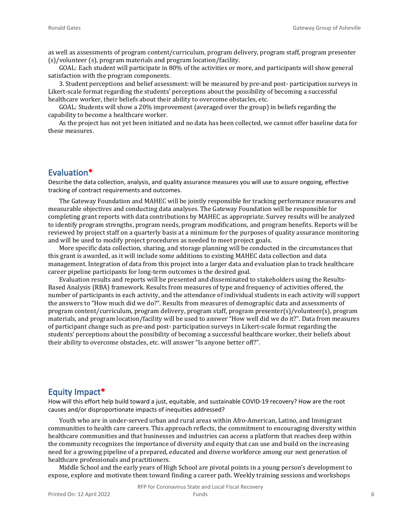as well as assessments of program content/curriculum, program delivery, program staff, program presenter (s)/volunteer (s), program materials and program location/facility.

GOAL: Each student will participate in 80% of the activities or more, and participants will show general satisfaction with the program components.

3. Student perceptions and belief assessment: will be measured by pre-and post- participation surveys in Likert-scale format regarding the students' perceptions about the possibility of becoming a successful healthcare worker, their beliefs about their ability to overcome obstacles, etc.

GOAL: Students will show a 20% improvement (averaged over the group) in beliefs regarding the capability to become a healthcare worker.

As the project has not yet been initiated and no data has been collected, we cannot offer baseline data for these measures.

#### **Evaluation\***

Describe the data collection, analysis, and quality assurance measures you will use to assure ongoing, effective tracking of contract requirements and outcomes.

The Gateway Foundation and MAHEC will be jointly responsible for tracking performance measures and measurable objectives and conducting data analyses. The Gateway Foundation will be responsible for completing grant reports with data contributions by MAHEC as appropriate. Survey results will be analyzed to identify program strengths, program needs, program modifications, and program benefits. Reports will be reviewed by project staff on a quarterly basis at a minimum for the purposes of quality assurance monitoring and will be used to modify project procedures as needed to meet project goals.

More specific data collection, sharing, and storage planning will be conducted in the circumstances that this grant is awarded, as it will include some additions to existing MAHEC data collection and data management. Integration of data from this project into a larger data and evaluation plan to track healthcare career pipeline participants for long-term outcomes is the desired goal.

Evaluation results and reports will be presented and disseminated to stakeholders using the Results-Based Analysis (RBA) framework. Results from measures of type and frequency of activities offered, the number of participants in each activity, and the attendance of individual students in each activity will support the answers to "How much did we do?". Results from measures of demographic data and assessments of program content/curriculum, program delivery, program staff, program presenter(s)/volunteer(s), program materials, and program location/facility will be used to answer "How well did we do it?". Data from measures of participant change such as pre-and post- participation surveys in Likert-scale format regarding the students' perceptions about the possibility of becoming a successful healthcare worker, their beliefs about their ability to overcome obstacles, etc. will answer "Is anyone better off?".

#### **Equity Impact\***

How will this effort help build toward a just, equitable, and sustainable COVID-19 recovery? How are the root causes and/or disproportionate impacts of inequities addressed?

Youth who are in under-served urban and rural areas within Afro-American, Latino, and Immigrant communities to health care careers. This approach reflects, the commitment to encouraging diversity within healthcare communities and that businesses and industries can access a platform that reaches deep within the community recognizes the importance of diversity and equity that can use and build on the increasing need for a growing pipeline of a prepared, educated and diverse workforce among our next generation of healthcare professionals and practitioners.

Middle School and the early years of High School are pivotal points in a young person's development to expose, explore and motivate them toward finding a career path. Weekly training sessions and workshops

RFP for Coronavirus State and Local Fiscal Recovery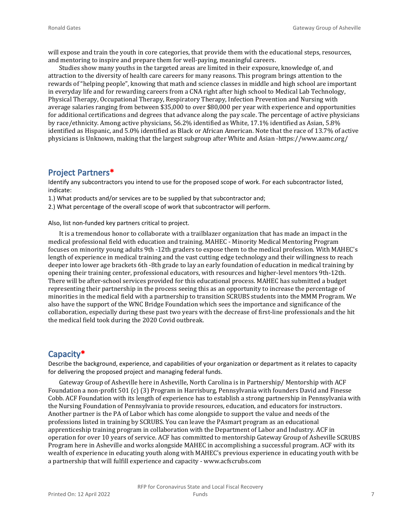will expose and train the youth in core categories, that provide them with the educational steps, resources, and mentoring to inspire and prepare them for well-paying, meaningful careers.

Studies show many youths in the targeted areas are limited in their exposure, knowledge of, and attraction to the diversity of health care careers for many reasons. This program brings attention to the rewards of "helping people", knowing that math and science classes in middle and high school are important in everyday life and for rewarding careers from a CNA right after high school to Medical Lab Technology, Physical Therapy, Occupational Therapy, Respiratory Therapy, Infection Prevention and Nursing with average salaries ranging from between \$35,000 to over \$80,000 per year with experience and opportunities for additional certifications and degrees that advance along the pay scale. The percentage of active physicians by race/ethnicity. Among active physicians, 56.2% identified as White, 17.1% identified as Asian, 5.8% identified as Hispanic, and 5.0% identified as Black or African American. Note that the race of 13.7% of active physicians is Unknown, making that the largest subgroup after White and Asian -https://www.aamc.org/

#### **Project Partners\***

Identify any subcontractors you intend to use for the proposed scope of work. For each subcontractor listed, indicate:

1.) What products and/or services are to be supplied by that subcontractor and;

2.) What percentage of the overall scope of work that subcontractor will perform.

Also, list non-funded key partners critical to project.

It is a tremendous honor to collaborate with a trailblazer organization that has made an impact in the medical professional field with education and training. MAHEC - Minority Medical Mentoring Program focuses on minority young adults 9th -12th graders to expose them to the medical profession. With MAHEC's length of experience in medical training and the vast cutting edge technology and their willingness to reach deeper into lower age brackets 6th -8th grade to lay an early foundation of education in medical training by opening their training center, professional educators, with resources and higher-level mentors 9th-12th. There will be after-school services provided for this educational process. MAHEC has submitted a budget representing their partnership in the process seeing this as an opportunity to increase the percentage of minorities in the medical field with a partnership to transition SCRUBS students into the MMM Program. We also have the support of the WNC Bridge Foundation which sees the importance and significance of the collaboration, especially during these past two years with the decrease of first-line professionals and the hit the medical field took during the 2020 Covid outbreak.

#### **Capacity\***

Describe the background, experience, and capabilities of your organization or department as it relates to capacity for delivering the proposed project and managing federal funds.

Gateway Group of Asheville here in Asheville, North Carolina is in Partnership/ Mentorship with ACF Foundation a non-profit 501 (c) (3) Program in Harrisburg, Pennsylvania with founders David and Finesse Cobb. ACF Foundation with its length of experience has to establish a strong partnership in Pennsylvania with the Nursing Foundation of Pennsylvania to provide resources, education, and educators for instructors. Another partner is the PA of Labor which has come alongside to support the value and needs of the professions listed in training by SCRUBS. You can leave the PAsmart program as an educational apprenticeship training program in collaboration with the Department of Labor and Industry. ACF in operation for over 10 years of service. ACF has committed to mentorship Gateway Group of Asheville SCRUBS Program here in Asheville and works alongside MAHEC in accomplishing a successful program. ACF with its wealth of experience in educating youth along with MAHEC's previous experience in educating youth with be a partnership that will fulfill experience and capacity - www.acfscrubs.com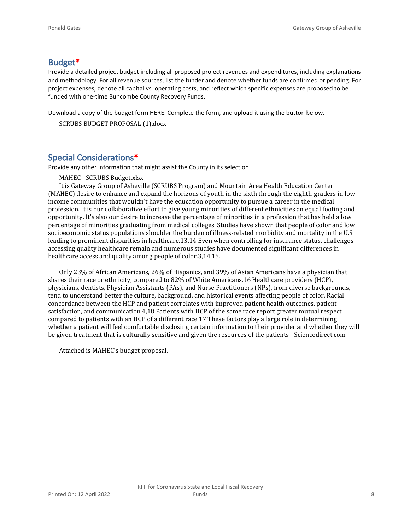# **Budget\***

Provide a detailed project budget including all proposed project revenues and expenditures, including explanations and methodology. For all revenue sources, list the funder and denote whether funds are confirmed or pending. For project expenses, denote all capital vs. operating costs, and reflect which specific expenses are proposed to be funded with one-time Buncombe County Recovery Funds.

Download a copy of the budget form [HERE](https://buncombecounty.org/common/community-investment/grants/early-childhood-education/Recovery-Funds-budget-template.xlsx). Complete the form, and upload it using the button below.

```
SCRUBS BUDGET PROPOSAL (1).docx
```
## **Special Considerations\***

Provide any other information that might assist the County in its selection.

MAHEC - SCRUBS Budget.xlsx

It is Gateway Group of Asheville (SCRUBS Program) and Mountain Area Health Education Center (MAHEC) desire to enhance and expand the horizons of youth in the sixth through the eighth-graders in lowincome communities that wouldn't have the education opportunity to pursue a career in the medical profession. It is our collaborative effort to give young minorities of different ethnicities an equal footing and opportunity. It's also our desire to increase the percentage of minorities in a profession that has held a low percentage of minorities graduating from medical colleges. Studies have shown that people of color and low socioeconomic status populations shoulder the burden of illness-related morbidity and mortality in the U.S. leading to prominent disparities in healthcare.13,14 Even when controlling for insurance status, challenges accessing quality healthcare remain and numerous studies have documented significant differences in healthcare access and quality among people of color.3,14,15.

Only 23% of African Americans, 26% of Hispanics, and 39% of Asian Americans have a physician that shares their race or ethnicity, compared to 82% of White Americans.16 Healthcare providers (HCP), physicians, dentists, Physician Assistants (PAs), and Nurse Practitioners (NPs), from diverse backgrounds, tend to understand better the culture, background, and historical events affecting people of color. Racial concordance between the HCP and patient correlates with improved patient health outcomes, patient satisfaction, and communication.4,18 Patients with HCP of the same race report greater mutual respect compared to patients with an HCP of a different race.17 These factors play a large role in determining whether a patient will feel comfortable disclosing certain information to their provider and whether they will be given treatment that is culturally sensitive and given the resources of the patients - Sciencedirect.com

Attached is MAHEC's budget proposal.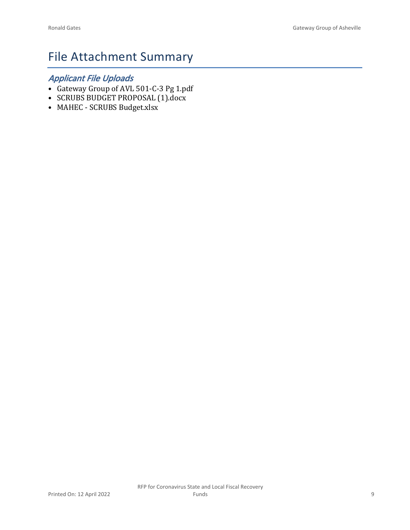# File Attachment Summary

# *Applicant File Uploads*

- Gateway Group of AVL 501-C-3 Pg 1.pdf
- SCRUBS BUDGET PROPOSAL (1).docx
- MAHEC SCRUBS Budget.xlsx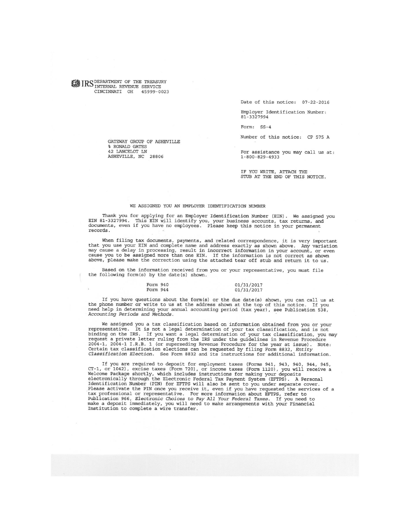**WE IRS** DEPARTMENT OF THE TREASURY CINCINNATI OH 45999-0023

GATEWAY GROUP OF ASHEVILLE

% RONALD GATES 42 LANCELOT LN

ASHEVILLE, NC 28806

Date of this notice: 07-22-2016

Employer Identification Number: 81-3327994

Form: SS-4

Number of this notice: CP 575 A

For assistance you may call us at:  $1 - 800 - 829 - 4933$ 

IF YOU WRITE, ATTACH THE STUB AT THE END OF THIS NOTICE.

#### WE ASSIGNED YOU AN EMPLOYER IDENTIFICATION NUMBER

Thank you for applying for an Employer Identification Number (EIN). We assigned you EIN 81-3327994. This EIN will identify you, your business accounts, tax returns, and<br>documents, even if you have no employees. Please keep this notice in your permanent records.

When filing tax documents, payments, and related correspondence, it is very important when the your EIN and complete name and address exactly as shown above. At is very important<br>may cause a delay in processing, result in incorrect information in your account, or even<br>may cause a delay in processing, result

Based on the information received from you or your representative, you must file<br>the following form(s) by the date(s) shown.

#### Form 940 01/31/2017 Form 944 01/31/2017

If you have questions about the form(s) or the due date(s) shown, you can call us at<br>the phone number or write to us at the address shown at the top of this notice. If you<br>need help in determining your annual accounting pe Accounting Periods and Methods.

We assigned you a tax classification based on information obtained from you or your we assume you a can crassification, and is not<br>binding on the IRS. If you want a legal determination of your tax classification, and is not<br>binding on the IRS. If you want a legal determination of your tax classification, request a private letter ruling from the IRS under the guidelines in Revenue Procedure 2004-1, 2004-1 I.R.B. 1 (or superseding Revenue Procedure for the year at issue). Note:<br>Certain tax classification elections can be requested by filing Form 8832, Entity<br>Classification Election. See Form 8832 and its instr

If you are required to deposit for employment taxes (Forms 941, 943, 940, 944, 945, CT-1, or 1042), excise taxes (Form 720), or income taxes (Form 1120), you will receive a Welcome Package shortly, which includes instructi Please activate the PIN once you receive it, even if you have requested the services of a Freeze activate the FIN once you receive it, even in you have requested the service<br>tax professional or representative. For more information about EFTPS, refer to<br>Publication 966, *Electronic Choices to Pay All Your Federa*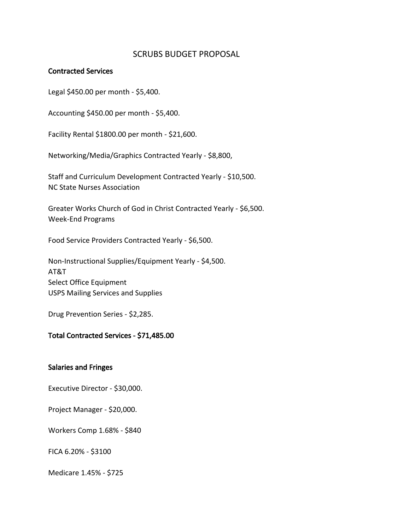## SCRUBS BUDGET PROPOSAL

#### **Contracted Services**

Legal \$450.00 per month - \$5,400.

Accounting \$450.00 per month - \$5,400.

Facility Rental \$1800.00 per month - \$21,600.

Networking/Media/Graphics Contracted Yearly - \$8,800,

Staff and Curriculum Development Contracted Yearly - \$10,500. NC State Nurses Association

Greater Works Church of God in Christ Contracted Yearly - \$6,500. Week-End Programs

Food Service Providers Contracted Yearly - \$6,500.

Non-Instructional Supplies/Equipment Yearly - \$4,500. AT&T Select Office Equipment USPS Mailing Services and Supplies

Drug Prevention Series - \$2,285.

### **Total Contracted Services - \$71,485.00**

#### **Salaries and Fringes**

Executive Director - \$30,000.

Project Manager - \$20,000.

Workers Comp 1.68% - \$840

FICA 6.20% - \$3100

Medicare 1.45% - \$725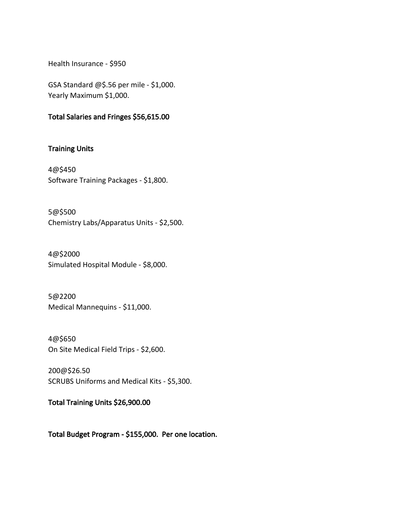Health Insurance - \$950

GSA Standard @\$.56 per mile - \$1,000. Yearly Maximum \$1,000.

### **Total Salaries and Fringes \$56,615.00**

# **Training Units**

4@\$450 Software Training Packages - \$1,800.

5@\$500 Chemistry Labs/Apparatus Units - \$2,500.

4@\$2000 Simulated Hospital Module - \$8,000.

5@2200 Medical Mannequins - \$11,000.

4@\$650 On Site Medical Field Trips - \$2,600.

200@\$26.50 SCRUBS Uniforms and Medical Kits - \$5,300.

**Total Training Units \$26,900.00**

**Total Budget Program - \$155,000. Per one location.**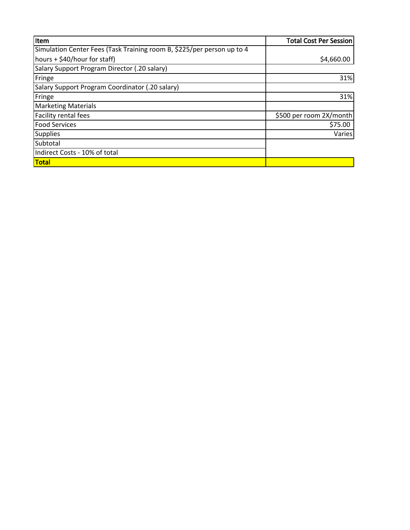| Item                                                                   | <b>Total Cost Per Session</b> |
|------------------------------------------------------------------------|-------------------------------|
| Simulation Center Fees (Task Training room B, \$225/per person up to 4 |                               |
| hours + \$40/hour for staff)                                           | \$4,660.00                    |
| Salary Support Program Director (.20 salary)                           |                               |
| Fringe                                                                 | 31%                           |
| Salary Support Program Coordinator (.20 salary)                        |                               |
| Fringe                                                                 | 31%                           |
| <b>Marketing Materials</b>                                             |                               |
| Facility rental fees                                                   | \$500 per room 2X/month       |
| <b>Food Services</b>                                                   | \$75.00                       |
| Supplies                                                               | Varies                        |
| Subtotal                                                               |                               |
| Indirect Costs - 10% of total                                          |                               |
| <b>Total</b>                                                           |                               |